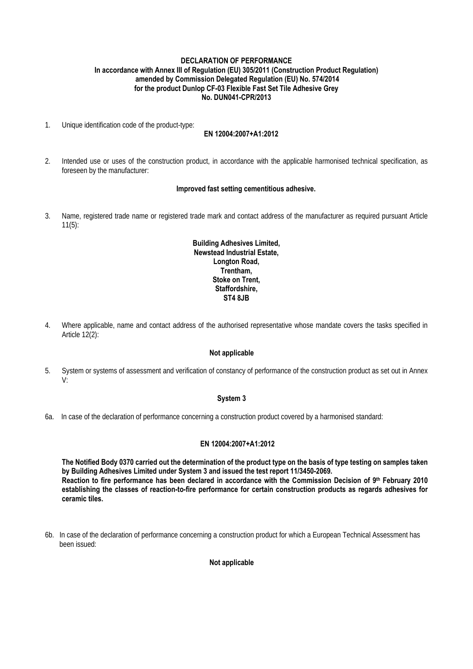### **DECLARATION OF PERFORMANCE In accordance with Annex III of Regulation (EU) 305/2011 (Construction Product Regulation) amended by Commission Delegated Regulation (EU) No. 574/2014 for the product Dunlop CF-03 Flexible Fast Set Tile Adhesive Grey No. DUN041-CPR/2013**

1. Unique identification code of the product-type:

# **EN 12004:2007+A1:2012**

2. Intended use or uses of the construction product, in accordance with the applicable harmonised technical specification, as foreseen by the manufacturer:

#### **Improved fast setting cementitious adhesive.**

3. Name, registered trade name or registered trade mark and contact address of the manufacturer as required pursuant Article 11(5):

### **Building Adhesives Limited, Newstead Industrial Estate, Longton Road, Trentham, Stoke on Trent, Staffordshire, ST4 8JB**

4. Where applicable, name and contact address of the authorised representative whose mandate covers the tasks specified in Article 12(2):

#### **Not applicable**

5. System or systems of assessment and verification of constancy of performance of the construction product as set out in Annex V:

#### **System 3**

6a. In case of the declaration of performance concerning a construction product covered by a harmonised standard:

#### **EN 12004:2007+A1:2012**

**The Notified Body 0370 carried out the determination of the product type on the basis of type testing on samples taken by Building Adhesives Limited under System 3 and issued the test report 11/3450-2069. Reaction to fire performance has been declared in accordance with the Commission Decision of 9th February 2010 establishing the classes of reaction-to-fire performance for certain construction products as regards adhesives for ceramic tiles.** 

6b. In case of the declaration of performance concerning a construction product for which a European Technical Assessment has been issued:

#### **Not applicable**